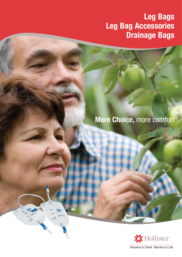## **Leg Bags Leg Bag Accessories Drainage Bags**

## **More Choice,** more comfort

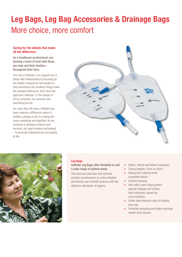# **Leg Bags, Leg Bag Accessories & Drainage Bags** More choice, more comfort

#### **Caring for the details that make all the difference.**

**As a healthcare professional, you develop a bond of trust with those you help and their families – throughout their lives.** 

The role of Hollister is to support you in these vital relationships by focusing on the details. Experience has taught us that sometimes the smallest things make the greatest difference. You'll find this approach reflected in the design of all our products, our services and everything we do.

For more than 80 years, Hollister has been making a difference where it matters, playing a role in making life more rewarding and dignified. As we continue to develop products and services, our goal remains unchanged – to promote independence and quality of life.





#### **Leg Bags**

**Hollister Leg Bags offer flexibility to suit a wide range of patient needs.**

This discreet collection and removal solution complements an active lifestyle and blends user-friendly features with the optimum standards of hygiene.

- $\circ$ 500ml, 540ml and 800ml capacities
- $\ddot{\mathbf{o}}$ Tubing lengths: 10cm or 50cm
- Waterproof material limits unwanted odours
- **o** Comfort backing
- Anti-reflux valve helps protect against leakage and urinary tract infections caused by urine backflow
- Outlet valve features easy-to-handle lever tap
- **•** Protected sampling port helps minimise needle stick injuries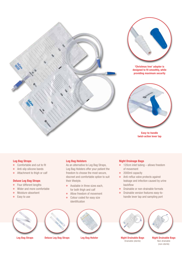



**'Christmas tree' adapter is designed to fit smoothly, while providing maximum security**



**Easy-to-handle twist-action lever tap**

#### **Leg Bag Straps**

- $\bullet$ Comfortable and cut to fit
- $\circ$ Anti-slip silicone bands
- Attachment to thigh or calf  $\circ$

#### **Deluxe Leg Bag Straps**

- Four different lengths  $\circ$
- Wider and more comfortable  $\circ$
- $\circ$ Moisture-absorbent
- Easy to use  $\circ$

#### **Leg Bag Holsters**

As an alternative to Leg Bag Straps, Leg Bag Holsters offer your patient the freedom to choose the most secure, discreet and comfortable option to suit their lifestyle.

- Available in three sizes each, for both thigh and calf
- Allow freedom of movement
- $\bullet$ Colour coded for easy size identification





**Leg Bag Straps Deluxe Leg Bag Straps Leg Bag Holster Night Drainable Bags**



#### **Night Drainage Bags**

- 120cm inlet tubing allows freedom of movement
- 2000ml capacity
- $\bullet$ Anti-reflux valve protects against leakage and infection caused by urine backflow
- Drainable or non-drainable formats  $\bullet$
- Drainable version features easy-to- $\circ$ handle lever tap and sampling port



Drainable (sterile)



**Night Drainable Bags** Non-drainable (non-sterile)